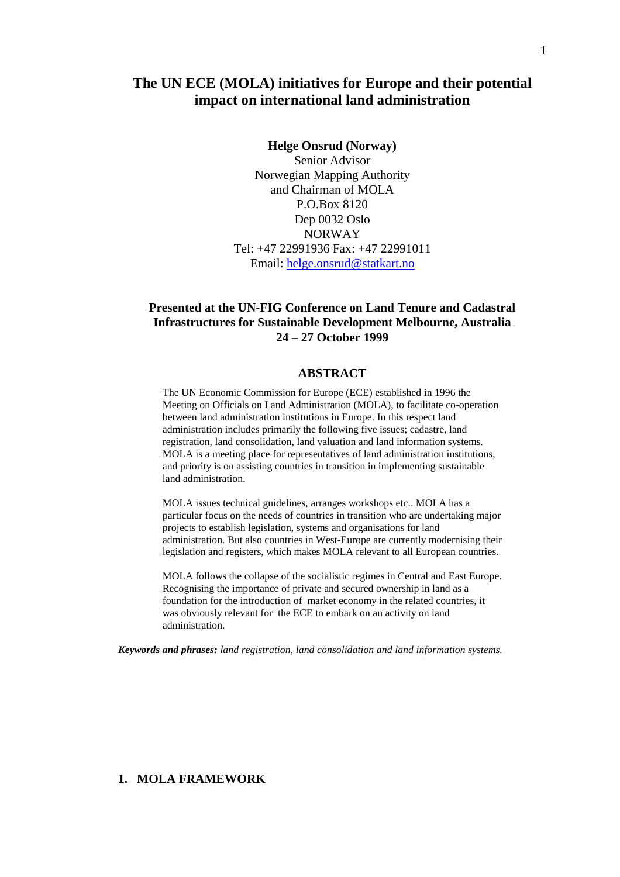# **The UN ECE (MOLA) initiatives for Europe and their potential impact on international land administration**

#### **Helge Onsrud (Norway)**

Senior Advisor Norwegian Mapping Authority and Chairman of MOLA P.O.Box 8120 Dep 0032 Oslo NORWAY Tel: +47 22991936 Fax: +47 22991011 Email: helge.onsrud@statkart.no

## **Presented at the UN-FIG Conference on Land Tenure and Cadastral Infrastructures for Sustainable Development Melbourne, Australia 24 – 27 October 1999**

#### **ABSTRACT**

The UN Economic Commission for Europe (ECE) established in 1996 the Meeting on Officials on Land Administration (MOLA), to facilitate co-operation between land administration institutions in Europe. In this respect land administration includes primarily the following five issues; cadastre, land registration, land consolidation, land valuation and land information systems. MOLA is a meeting place for representatives of land administration institutions, and priority is on assisting countries in transition in implementing sustainable land administration.

MOLA issues technical guidelines, arranges workshops etc.. MOLA has a particular focus on the needs of countries in transition who are undertaking major projects to establish legislation, systems and organisations for land administration. But also countries in West-Europe are currently modernising their legislation and registers, which makes MOLA relevant to all European countries.

MOLA follows the collapse of the socialistic regimes in Central and East Europe. Recognising the importance of private and secured ownership in land as a foundation for the introduction of market economy in the related countries, it was obviously relevant for the ECE to embark on an activity on land administration.

*Keywords and phrases: land registration, land consolidation and land information systems.*

#### **1. MOLA FRAMEWORK**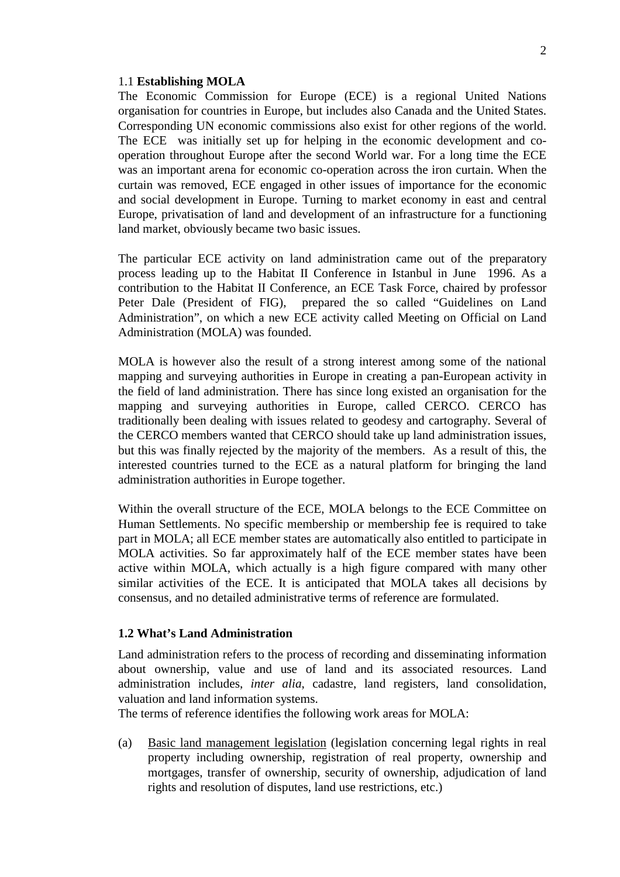#### 1.1 **Establishing MOLA**

The Economic Commission for Europe (ECE) is a regional United Nations organisation for countries in Europe, but includes also Canada and the United States. Corresponding UN economic commissions also exist for other regions of the world. The ECE was initially set up for helping in the economic development and cooperation throughout Europe after the second World war. For a long time the ECE was an important arena for economic co-operation across the iron curtain. When the curtain was removed, ECE engaged in other issues of importance for the economic and social development in Europe. Turning to market economy in east and central Europe, privatisation of land and development of an infrastructure for a functioning land market, obviously became two basic issues.

The particular ECE activity on land administration came out of the preparatory process leading up to the Habitat II Conference in Istanbul in June 1996. As a contribution to the Habitat II Conference, an ECE Task Force, chaired by professor Peter Dale (President of FIG), prepared the so called "Guidelines on Land Administration", on which a new ECE activity called Meeting on Official on Land Administration (MOLA) was founded.

MOLA is however also the result of a strong interest among some of the national mapping and surveying authorities in Europe in creating a pan-European activity in the field of land administration. There has since long existed an organisation for the mapping and surveying authorities in Europe, called CERCO. CERCO has traditionally been dealing with issues related to geodesy and cartography. Several of the CERCO members wanted that CERCO should take up land administration issues, but this was finally rejected by the majority of the members. As a result of this, the interested countries turned to the ECE as a natural platform for bringing the land administration authorities in Europe together.

Within the overall structure of the ECE, MOLA belongs to the ECE Committee on Human Settlements. No specific membership or membership fee is required to take part in MOLA; all ECE member states are automatically also entitled to participate in MOLA activities. So far approximately half of the ECE member states have been active within MOLA, which actually is a high figure compared with many other similar activities of the ECE. It is anticipated that MOLA takes all decisions by consensus, and no detailed administrative terms of reference are formulated.

#### **1.2 What's Land Administration**

Land administration refers to the process of recording and disseminating information about ownership, value and use of land and its associated resources. Land administration includes, *inter alia*, cadastre, land registers, land consolidation, valuation and land information systems.

The terms of reference identifies the following work areas for MOLA:

(a) Basic land management legislation (legislation concerning legal rights in real property including ownership, registration of real property, ownership and mortgages, transfer of ownership, security of ownership, adjudication of land rights and resolution of disputes, land use restrictions, etc.)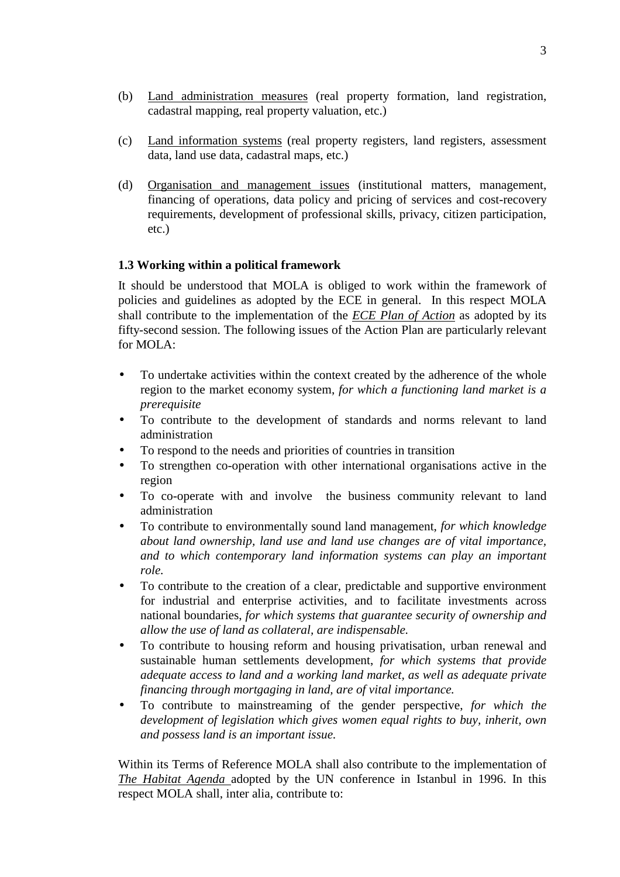- (b) Land administration measures (real property formation, land registration, cadastral mapping, real property valuation, etc.)
- (c) Land information systems (real property registers, land registers, assessment data, land use data, cadastral maps, etc.)
- (d) Organisation and management issues (institutional matters, management, financing of operations, data policy and pricing of services and cost-recovery requirements, development of professional skills, privacy, citizen participation, etc.)

## **1.3 Working within a political framework**

It should be understood that MOLA is obliged to work within the framework of policies and guidelines as adopted by the ECE in general. In this respect MOLA shall contribute to the implementation of the *ECE Plan of Action* as adopted by its fifty-second session. The following issues of the Action Plan are particularly relevant for MOLA:

- To undertake activities within the context created by the adherence of the whole region to the market economy system, *for which a functioning land market is a prerequisite*
- To contribute to the development of standards and norms relevant to land administration
- To respond to the needs and priorities of countries in transition
- To strengthen co-operation with other international organisations active in the region
- To co-operate with and involve the business community relevant to land administration
- To contribute to environmentally sound land management, *for which knowledge about land ownership, land use and land use changes are of vital importance, and to which contemporary land information systems can play an important role.*
- To contribute to the creation of a clear, predictable and supportive environment for industrial and enterprise activities, and to facilitate investments across national boundaries, *for which systems that guarantee security of ownership and allow the use of land as collateral, are indispensable.*
- To contribute to housing reform and housing privatisation, urban renewal and sustainable human settlements development, *for which systems that provide adequate access to land and a working land market, as well as adequate private financing through mortgaging in land, are of vital importance.*
- To contribute to mainstreaming of the gender perspective, *for which the development of legislation which gives women equal rights to buy, inherit, own and possess land is an important issue.*

Within its Terms of Reference MOLA shall also contribute to the implementation of *The Habitat Agenda* adopted by the UN conference in Istanbul in 1996. In this respect MOLA shall, inter alia, contribute to: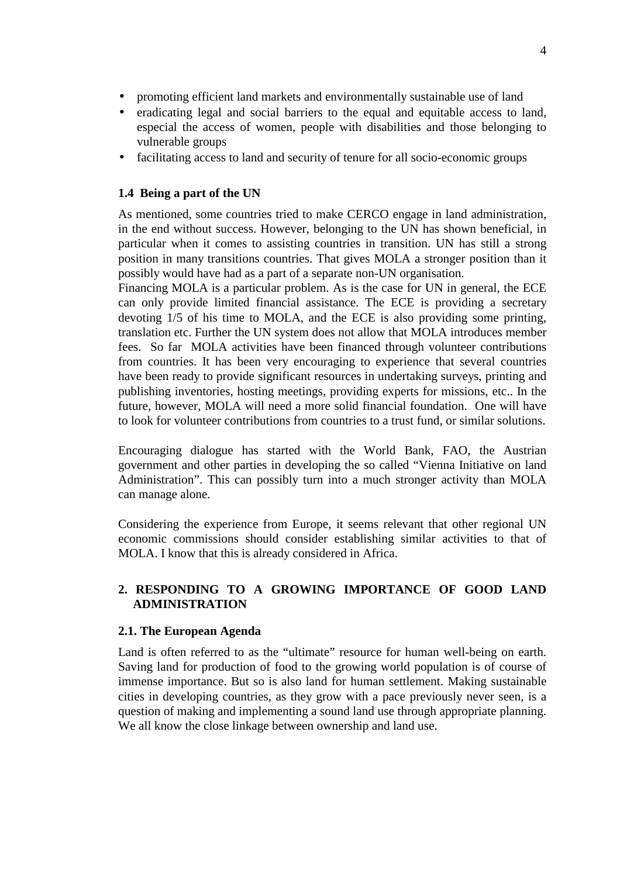- promoting efficient land markets and environmentally sustainable use of land
- eradicating legal and social barriers to the equal and equitable access to land, especial the access of women, people with disabilities and those belonging to vulnerable groups
- facilitating access to land and security of tenure for all socio-economic groups

## **1.4 Being a part of the UN**

As mentioned, some countries tried to make CERCO engage in land administration, in the end without success. However, belonging to the UN has shown beneficial, in particular when it comes to assisting countries in transition. UN has still a strong position in many transitions countries. That gives MOLA a stronger position than it possibly would have had as a part of a separate non-UN organisation.

Financing MOLA is a particular problem. As is the case for UN in general, the ECE can only provide limited financial assistance. The ECE is providing a secretary devoting 1/5 of his time to MOLA, and the ECE is also providing some printing, translation etc. Further the UN system does not allow that MOLA introduces member fees. So far MOLA activities have been financed through volunteer contributions from countries. It has been very encouraging to experience that several countries have been ready to provide significant resources in undertaking surveys, printing and publishing inventories, hosting meetings, providing experts for missions, etc.. In the future, however, MOLA will need a more solid financial foundation. One will have to look for volunteer contributions from countries to a trust fund, or similar solutions.

Encouraging dialogue has started with the World Bank, FAO, the Austrian government and other parties in developing the so called "Vienna Initiative on land Administration". This can possibly turn into a much stronger activity than MOLA can manage alone.

Considering the experience from Europe, it seems relevant that other regional UN economic commissions should consider establishing similar activities to that of MOLA. I know that this is already considered in Africa.

## **2. RESPONDING TO A GROWING IMPORTANCE OF GOOD LAND ADMINISTRATION**

### **2.1. The European Agenda**

Land is often referred to as the "ultimate" resource for human well-being on earth. Saving land for production of food to the growing world population is of course of immense importance. But so is also land for human settlement. Making sustainable cities in developing countries, as they grow with a pace previously never seen, is a question of making and implementing a sound land use through appropriate planning. We all know the close linkage between ownership and land use.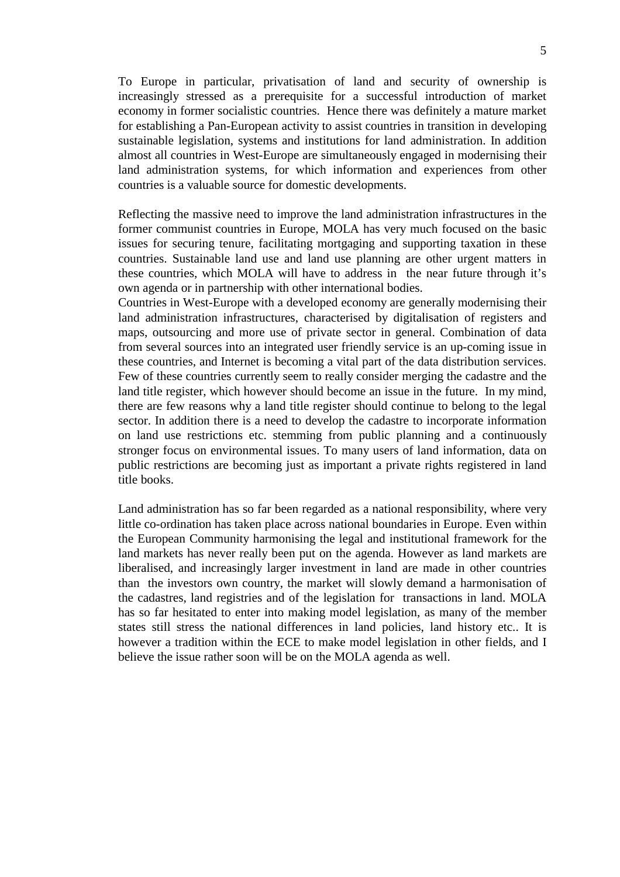To Europe in particular, privatisation of land and security of ownership is increasingly stressed as a prerequisite for a successful introduction of market economy in former socialistic countries. Hence there was definitely a mature market for establishing a Pan-European activity to assist countries in transition in developing sustainable legislation, systems and institutions for land administration. In addition almost all countries in West-Europe are simultaneously engaged in modernising their land administration systems, for which information and experiences from other countries is a valuable source for domestic developments.

Reflecting the massive need to improve the land administration infrastructures in the former communist countries in Europe, MOLA has very much focused on the basic issues for securing tenure, facilitating mortgaging and supporting taxation in these countries. Sustainable land use and land use planning are other urgent matters in these countries, which MOLA will have to address in the near future through it's own agenda or in partnership with other international bodies.

Countries in West-Europe with a developed economy are generally modernising their land administration infrastructures, characterised by digitalisation of registers and maps, outsourcing and more use of private sector in general. Combination of data from several sources into an integrated user friendly service is an up-coming issue in these countries, and Internet is becoming a vital part of the data distribution services. Few of these countries currently seem to really consider merging the cadastre and the land title register, which however should become an issue in the future. In my mind, there are few reasons why a land title register should continue to belong to the legal sector. In addition there is a need to develop the cadastre to incorporate information on land use restrictions etc. stemming from public planning and a continuously stronger focus on environmental issues. To many users of land information, data on public restrictions are becoming just as important a private rights registered in land title books.

Land administration has so far been regarded as a national responsibility, where very little co-ordination has taken place across national boundaries in Europe. Even within the European Community harmonising the legal and institutional framework for the land markets has never really been put on the agenda. However as land markets are liberalised, and increasingly larger investment in land are made in other countries than the investors own country, the market will slowly demand a harmonisation of the cadastres, land registries and of the legislation for transactions in land. MOLA has so far hesitated to enter into making model legislation, as many of the member states still stress the national differences in land policies, land history etc.. It is however a tradition within the ECE to make model legislation in other fields, and I believe the issue rather soon will be on the MOLA agenda as well.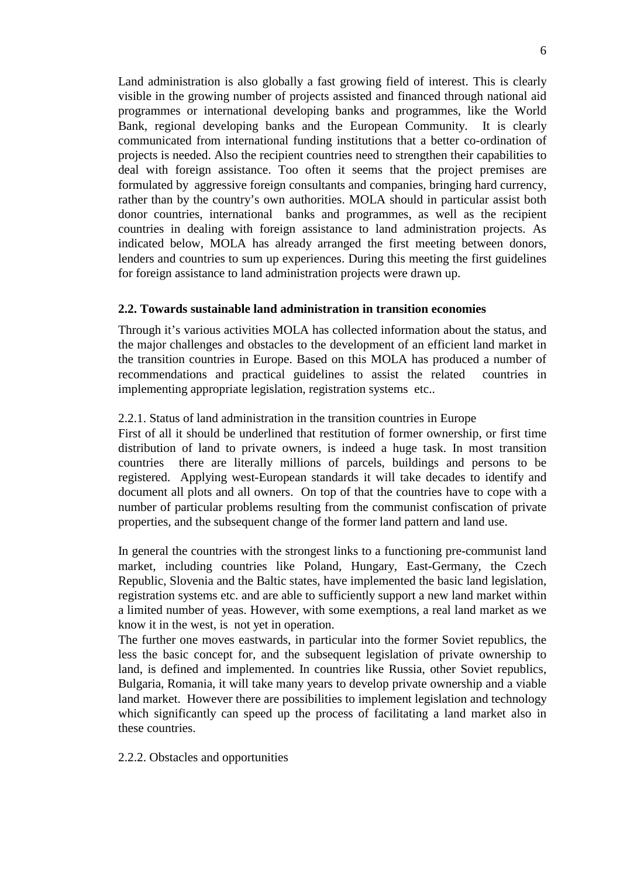Land administration is also globally a fast growing field of interest. This is clearly visible in the growing number of projects assisted and financed through national aid programmes or international developing banks and programmes, like the World Bank, regional developing banks and the European Community. It is clearly communicated from international funding institutions that a better co-ordination of projects is needed. Also the recipient countries need to strengthen their capabilities to deal with foreign assistance. Too often it seems that the project premises are formulated by aggressive foreign consultants and companies, bringing hard currency, rather than by the country's own authorities. MOLA should in particular assist both donor countries, international banks and programmes, as well as the recipient countries in dealing with foreign assistance to land administration projects. As indicated below, MOLA has already arranged the first meeting between donors, lenders and countries to sum up experiences. During this meeting the first guidelines for foreign assistance to land administration projects were drawn up.

#### **2.2. Towards sustainable land administration in transition economies**

Through it's various activities MOLA has collected information about the status, and the major challenges and obstacles to the development of an efficient land market in the transition countries in Europe. Based on this MOLA has produced a number of recommendations and practical guidelines to assist the related countries in implementing appropriate legislation, registration systems etc..

#### 2.2.1. Status of land administration in the transition countries in Europe

First of all it should be underlined that restitution of former ownership, or first time distribution of land to private owners, is indeed a huge task. In most transition countries there are literally millions of parcels, buildings and persons to be registered. Applying west-European standards it will take decades to identify and document all plots and all owners. On top of that the countries have to cope with a number of particular problems resulting from the communist confiscation of private properties, and the subsequent change of the former land pattern and land use.

In general the countries with the strongest links to a functioning pre-communist land market, including countries like Poland, Hungary, East-Germany, the Czech Republic, Slovenia and the Baltic states, have implemented the basic land legislation, registration systems etc. and are able to sufficiently support a new land market within a limited number of yeas. However, with some exemptions, a real land market as we know it in the west, is not yet in operation.

The further one moves eastwards, in particular into the former Soviet republics, the less the basic concept for, and the subsequent legislation of private ownership to land, is defined and implemented. In countries like Russia, other Soviet republics, Bulgaria, Romania, it will take many years to develop private ownership and a viable land market. However there are possibilities to implement legislation and technology which significantly can speed up the process of facilitating a land market also in these countries.

2.2.2. Obstacles and opportunities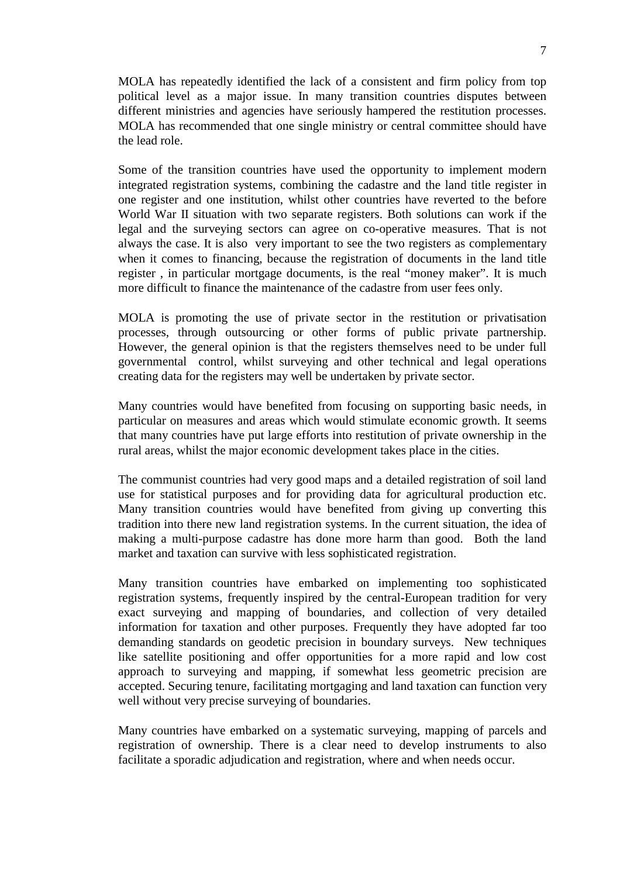MOLA has repeatedly identified the lack of a consistent and firm policy from top political level as a major issue. In many transition countries disputes between different ministries and agencies have seriously hampered the restitution processes. MOLA has recommended that one single ministry or central committee should have the lead role.

Some of the transition countries have used the opportunity to implement modern integrated registration systems, combining the cadastre and the land title register in one register and one institution, whilst other countries have reverted to the before World War II situation with two separate registers. Both solutions can work if the legal and the surveying sectors can agree on co-operative measures. That is not always the case. It is also very important to see the two registers as complementary when it comes to financing, because the registration of documents in the land title register , in particular mortgage documents, is the real "money maker". It is much more difficult to finance the maintenance of the cadastre from user fees only.

MOLA is promoting the use of private sector in the restitution or privatisation processes, through outsourcing or other forms of public private partnership. However, the general opinion is that the registers themselves need to be under full governmental control, whilst surveying and other technical and legal operations creating data for the registers may well be undertaken by private sector.

Many countries would have benefited from focusing on supporting basic needs, in particular on measures and areas which would stimulate economic growth. It seems that many countries have put large efforts into restitution of private ownership in the rural areas, whilst the major economic development takes place in the cities.

The communist countries had very good maps and a detailed registration of soil land use for statistical purposes and for providing data for agricultural production etc. Many transition countries would have benefited from giving up converting this tradition into there new land registration systems. In the current situation, the idea of making a multi-purpose cadastre has done more harm than good. Both the land market and taxation can survive with less sophisticated registration.

Many transition countries have embarked on implementing too sophisticated registration systems, frequently inspired by the central-European tradition for very exact surveying and mapping of boundaries, and collection of very detailed information for taxation and other purposes. Frequently they have adopted far too demanding standards on geodetic precision in boundary surveys. New techniques like satellite positioning and offer opportunities for a more rapid and low cost approach to surveying and mapping, if somewhat less geometric precision are accepted. Securing tenure, facilitating mortgaging and land taxation can function very well without very precise surveying of boundaries.

Many countries have embarked on a systematic surveying, mapping of parcels and registration of ownership. There is a clear need to develop instruments to also facilitate a sporadic adjudication and registration, where and when needs occur.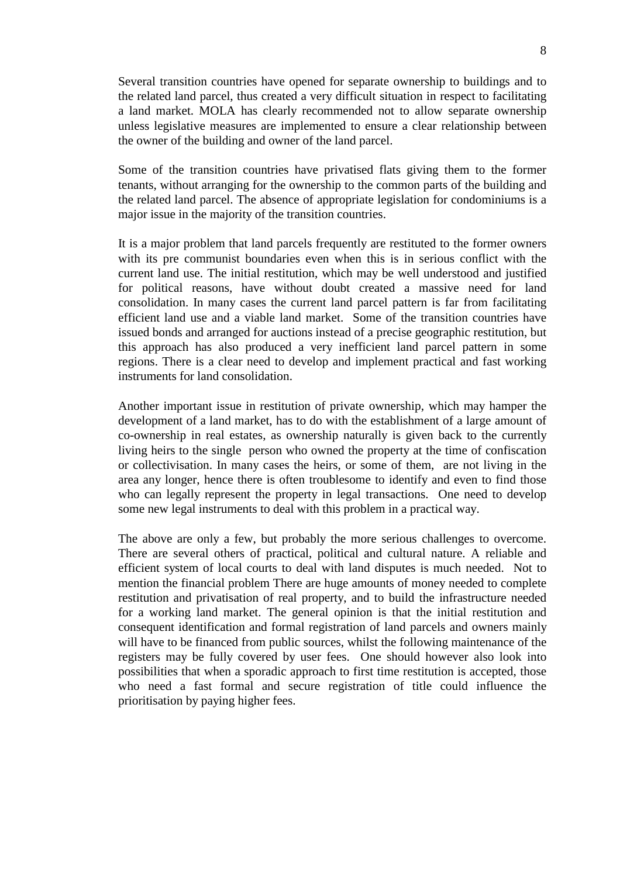Several transition countries have opened for separate ownership to buildings and to the related land parcel, thus created a very difficult situation in respect to facilitating a land market. MOLA has clearly recommended not to allow separate ownership unless legislative measures are implemented to ensure a clear relationship between the owner of the building and owner of the land parcel.

Some of the transition countries have privatised flats giving them to the former tenants, without arranging for the ownership to the common parts of the building and the related land parcel. The absence of appropriate legislation for condominiums is a major issue in the majority of the transition countries.

It is a major problem that land parcels frequently are restituted to the former owners with its pre communist boundaries even when this is in serious conflict with the current land use. The initial restitution, which may be well understood and justified for political reasons, have without doubt created a massive need for land consolidation. In many cases the current land parcel pattern is far from facilitating efficient land use and a viable land market. Some of the transition countries have issued bonds and arranged for auctions instead of a precise geographic restitution, but this approach has also produced a very inefficient land parcel pattern in some regions. There is a clear need to develop and implement practical and fast working instruments for land consolidation.

Another important issue in restitution of private ownership, which may hamper the development of a land market, has to do with the establishment of a large amount of co-ownership in real estates, as ownership naturally is given back to the currently living heirs to the single person who owned the property at the time of confiscation or collectivisation. In many cases the heirs, or some of them, are not living in the area any longer, hence there is often troublesome to identify and even to find those who can legally represent the property in legal transactions. One need to develop some new legal instruments to deal with this problem in a practical way.

The above are only a few, but probably the more serious challenges to overcome. There are several others of practical, political and cultural nature. A reliable and efficient system of local courts to deal with land disputes is much needed. Not to mention the financial problem There are huge amounts of money needed to complete restitution and privatisation of real property, and to build the infrastructure needed for a working land market. The general opinion is that the initial restitution and consequent identification and formal registration of land parcels and owners mainly will have to be financed from public sources, whilst the following maintenance of the registers may be fully covered by user fees. One should however also look into possibilities that when a sporadic approach to first time restitution is accepted, those who need a fast formal and secure registration of title could influence the prioritisation by paying higher fees.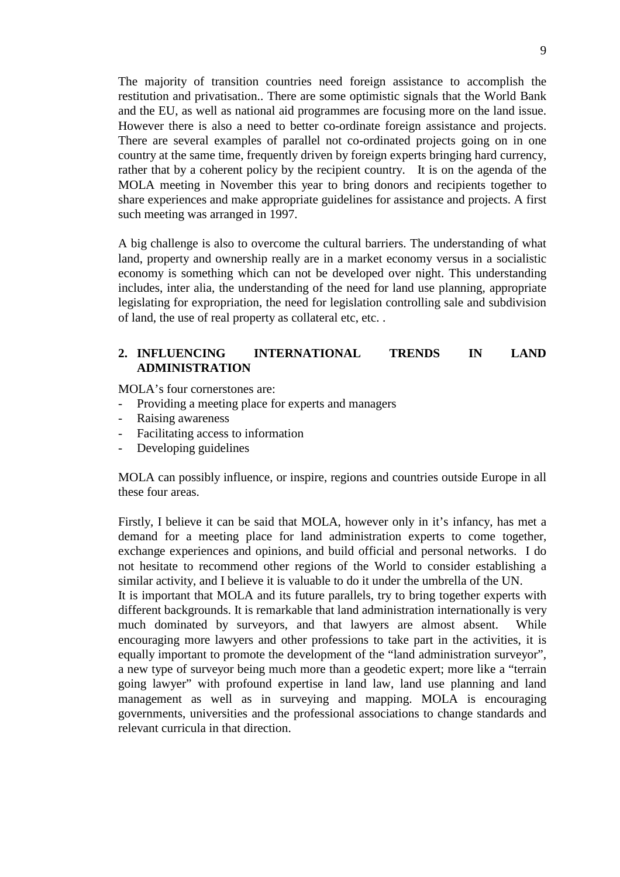The majority of transition countries need foreign assistance to accomplish the restitution and privatisation.. There are some optimistic signals that the World Bank and the EU, as well as national aid programmes are focusing more on the land issue. However there is also a need to better co-ordinate foreign assistance and projects. There are several examples of parallel not co-ordinated projects going on in one country at the same time, frequently driven by foreign experts bringing hard currency, rather that by a coherent policy by the recipient country. It is on the agenda of the MOLA meeting in November this year to bring donors and recipients together to share experiences and make appropriate guidelines for assistance and projects. A first such meeting was arranged in 1997.

A big challenge is also to overcome the cultural barriers. The understanding of what land, property and ownership really are in a market economy versus in a socialistic economy is something which can not be developed over night. This understanding includes, inter alia, the understanding of the need for land use planning, appropriate legislating for expropriation, the need for legislation controlling sale and subdivision of land, the use of real property as collateral etc, etc. .

## **2. INFLUENCING INTERNATIONAL TRENDS IN LAND ADMINISTRATION**

MOLA's four cornerstones are:

- Providing a meeting place for experts and managers
- Raising awareness
- Facilitating access to information
- Developing guidelines

MOLA can possibly influence, or inspire, regions and countries outside Europe in all these four areas.

Firstly, I believe it can be said that MOLA, however only in it's infancy, has met a demand for a meeting place for land administration experts to come together, exchange experiences and opinions, and build official and personal networks. I do not hesitate to recommend other regions of the World to consider establishing a similar activity, and I believe it is valuable to do it under the umbrella of the UN.

It is important that MOLA and its future parallels, try to bring together experts with different backgrounds. It is remarkable that land administration internationally is very much dominated by surveyors, and that lawyers are almost absent. While encouraging more lawyers and other professions to take part in the activities, it is equally important to promote the development of the "land administration surveyor", a new type of surveyor being much more than a geodetic expert; more like a "terrain going lawyer" with profound expertise in land law, land use planning and land management as well as in surveying and mapping. MOLA is encouraging governments, universities and the professional associations to change standards and relevant curricula in that direction.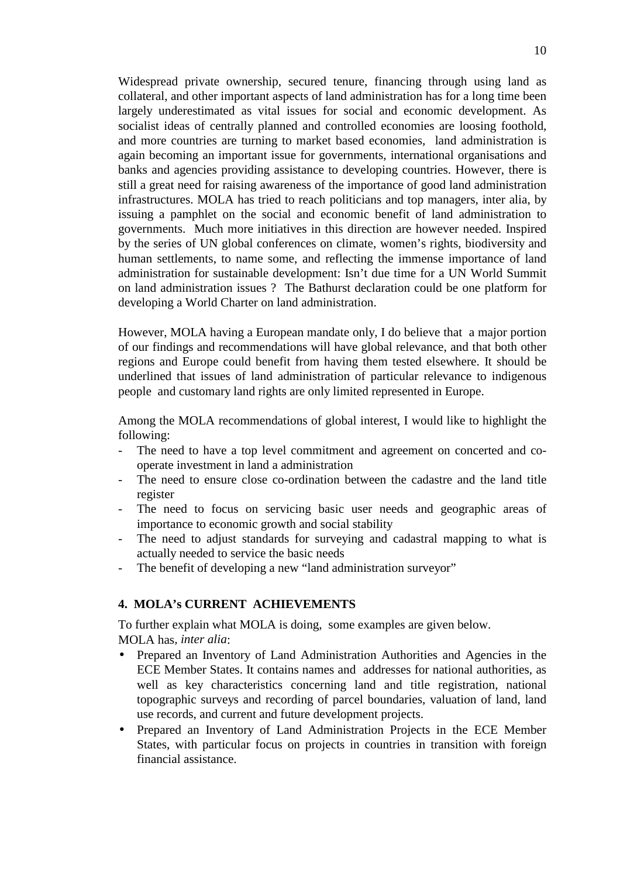Widespread private ownership, secured tenure, financing through using land as collateral, and other important aspects of land administration has for a long time been largely underestimated as vital issues for social and economic development. As socialist ideas of centrally planned and controlled economies are loosing foothold, and more countries are turning to market based economies, land administration is again becoming an important issue for governments, international organisations and banks and agencies providing assistance to developing countries. However, there is still a great need for raising awareness of the importance of good land administration infrastructures. MOLA has tried to reach politicians and top managers, inter alia, by issuing a pamphlet on the social and economic benefit of land administration to governments. Much more initiatives in this direction are however needed. Inspired by the series of UN global conferences on climate, women's rights, biodiversity and human settlements, to name some, and reflecting the immense importance of land administration for sustainable development: Isn't due time for a UN World Summit on land administration issues ? The Bathurst declaration could be one platform for developing a World Charter on land administration.

However, MOLA having a European mandate only, I do believe that a major portion of our findings and recommendations will have global relevance, and that both other regions and Europe could benefit from having them tested elsewhere. It should be underlined that issues of land administration of particular relevance to indigenous people and customary land rights are only limited represented in Europe.

Among the MOLA recommendations of global interest, I would like to highlight the following:

- The need to have a top level commitment and agreement on concerted and cooperate investment in land a administration
- The need to ensure close co-ordination between the cadastre and the land title register
- The need to focus on servicing basic user needs and geographic areas of importance to economic growth and social stability
- The need to adjust standards for surveying and cadastral mapping to what is actually needed to service the basic needs
- The benefit of developing a new "land administration surveyor"

### **4. MOLA's CURRENT ACHIEVEMENTS**

To further explain what MOLA is doing, some examples are given below. MOLA has*, inter alia*:

- Prepared an Inventory of Land Administration Authorities and Agencies in the ECE Member States. It contains names and addresses for national authorities, as well as key characteristics concerning land and title registration, national topographic surveys and recording of parcel boundaries, valuation of land, land use records, and current and future development projects.
- Prepared an Inventory of Land Administration Projects in the ECE Member States, with particular focus on projects in countries in transition with foreign financial assistance.